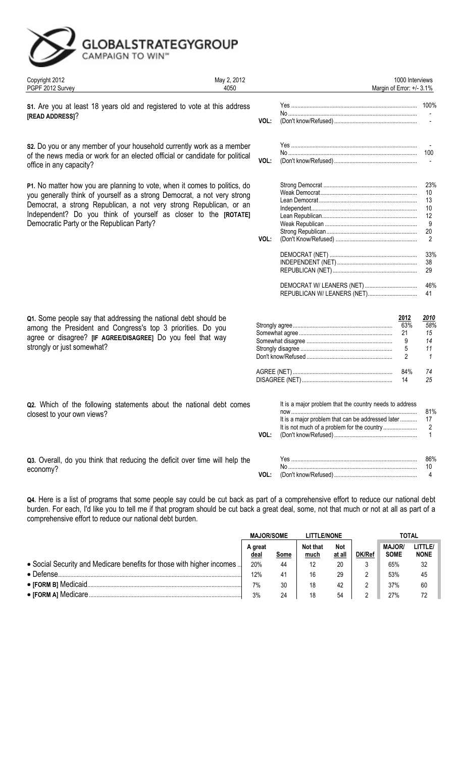## GLOBALSTRATEGYGROUP

| Copyright 2012<br>PGPF 2012 Survey                                                                                                                                                                                                                                                                                                           | May 2, 2012<br>4050 |      |                                                                                                                      | 1000 Interviews<br>Margin of Error: +/- 3.1%  |                                                        |
|----------------------------------------------------------------------------------------------------------------------------------------------------------------------------------------------------------------------------------------------------------------------------------------------------------------------------------------------|---------------------|------|----------------------------------------------------------------------------------------------------------------------|-----------------------------------------------|--------------------------------------------------------|
| S1. Are you at least 18 years old and registered to vote at this address<br>[READ ADDRESS]?                                                                                                                                                                                                                                                  |                     | VOL: |                                                                                                                      |                                               |                                                        |
| s2. Do you or any member of your household currently work as a member<br>of the news media or work for an elected official or candidate for political<br>office in any capacity?                                                                                                                                                             |                     | VOL: |                                                                                                                      |                                               | 100                                                    |
| P1. No matter how you are planning to vote, when it comes to politics, do<br>you generally think of yourself as a strong Democrat, a not very strong<br>Democrat, a strong Republican, a not very strong Republican, or an<br>Independent? Do you think of yourself as closer to the [ROTATE]<br>Democratic Party or the Republican Party?   |                     | VOL: |                                                                                                                      |                                               | 23%<br>10<br>13<br>10<br>12<br>9<br>20<br>2            |
|                                                                                                                                                                                                                                                                                                                                              |                     |      | REPUBLICAN W/ LEANERS (NET)                                                                                          |                                               | 33%<br>38<br>29<br>46%<br>41                           |
| Q1. Some people say that addressing the national debt should be<br>among the President and Congress's top 3 priorities. Do you<br>agree or disagree? [IF AGREE/DISAGREE] Do you feel that way<br>strongly or just somewhat?                                                                                                                  |                     |      |                                                                                                                      | 2012<br>63%<br>21<br>9<br>5<br>$\mathfrak{p}$ | <u> 2010 </u><br>58%<br>15<br>14<br>11<br>$\mathbf{1}$ |
|                                                                                                                                                                                                                                                                                                                                              |                     |      |                                                                                                                      | 84%<br>14                                     | 74<br>25                                               |
| Q2. Which of the following statements about the national debt comes<br>closest to your own views?                                                                                                                                                                                                                                            |                     | VOL: | It is a major problem that the country needs to address<br>now.<br>It is a major problem that can be addressed later |                                               | 81%<br>17<br>2<br>$\mathbf{1}$                         |
| Q3. Overall, do you think that reducing the deficit over time will help the<br>economy?                                                                                                                                                                                                                                                      |                     | VOL: |                                                                                                                      |                                               | 86%<br>10<br>4                                         |
| Q4. Here is a list of programs that some people say could be cut back as part of a comprehensive effort to reduce our national debt<br>burden. For each, I'd like you to tell me if that program should be cut back a great deal, some, not that much or not at all as part of a<br>comprehensive effort to reduce our national debt burden. |                     |      |                                                                                                                      |                                               |                                                        |

|                                                                       | <b>MAJOR/SOME</b> |      | <b>LITTLE/NONE</b> |                      |               | TOTAL                        |                        |
|-----------------------------------------------------------------------|-------------------|------|--------------------|----------------------|---------------|------------------------------|------------------------|
|                                                                       | A great<br>deal   | Some | Not that<br>much   | <b>Not</b><br>at all | <b>DK/Ref</b> | <b>MAJOR/</b><br><b>SOME</b> | LITTLE/<br><b>NONE</b> |
| • Social Security and Medicare benefits for those with higher incomes | 20%               | 44   | 12                 | 20                   |               | 65%                          | 32                     |
| $\bullet$ Defense.                                                    | 12%               | 41   | 16                 | 29                   |               | 53%                          | 45                     |
|                                                                       | 7%                | 30   | 18                 | 42                   |               | 37%                          | 60                     |
|                                                                       | 3%                | 24   | 18                 | 54                   |               | 27%                          | 72                     |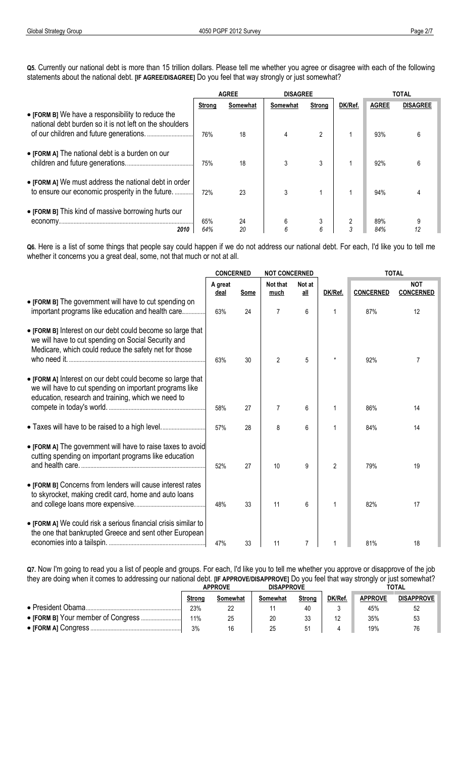**Q5.** Currently our national debt is more than 15 trillion dollars. Please tell me whether you agree or disagree with each of the following statements about the national debt. **[IF AGREE/DISAGREE]** Do you feel that way strongly or just somewhat?

|                                                                                                              | <b>AGREE</b>  |          | <b>DISAGREE</b> |                            |         | TOTAL        |                 |
|--------------------------------------------------------------------------------------------------------------|---------------|----------|-----------------|----------------------------|---------|--------------|-----------------|
|                                                                                                              | <b>Strong</b> | Somewhat | Somewhat        | <b>Strong</b>              | DK/Ref. | <b>AGREE</b> | <b>DISAGREE</b> |
| • [FORM B] We have a responsibility to reduce the<br>national debt burden so it is not left on the shoulders | 76%           | 18       |                 | 2                          |         | 93%          | 6               |
| • [FORM A] The national debt is a burden on our                                                              | 75%           | 18       |                 | 3                          |         | 92%          |                 |
| • [FORM A] We must address the national debt in order<br>to ensure our economic prosperity in the future     | 72%           | 23       | 3               |                            |         | 94%          |                 |
| • [FORM B] This kind of massive borrowing hurts our<br>economy<br>2010                                       | 65%<br>64%    | 24<br>20 | 6               | 3<br>$\boldsymbol{\kappa}$ |         | 89%<br>84%   |                 |

**Q6.** Here is a list of some things that people say could happen if we do not address our national debt. For each, I'd like you to tell me whether it concerns you a great deal, some, not that much or not at all.

|                                                                                                                                                                             | <b>CONCERNED</b>       |      | <b>NOT CONCERNED</b> |               |         | <b>TOTAL</b>     |                                |
|-----------------------------------------------------------------------------------------------------------------------------------------------------------------------------|------------------------|------|----------------------|---------------|---------|------------------|--------------------------------|
|                                                                                                                                                                             | A great<br><u>deal</u> | Some | Not that<br>much     | Not at<br>all | DK/Ref. | <b>CONCERNED</b> | <b>NOT</b><br><b>CONCERNED</b> |
| • [FORM B] The government will have to cut spending on<br>important programs like education and health care                                                                 | 63%                    | 24   | 7                    | 6             |         | 87%              | 12                             |
| • [FORM B] Interest on our debt could become so large that<br>we will have to cut spending on Social Security and<br>Medicare, which could reduce the safety net for those  | 63%                    | 30   | $\mathfrak{p}$       | 5             |         | 92%              |                                |
| • [FORM A] Interest on our debt could become so large that<br>we will have to cut spending on important programs like<br>education, research and training, which we need to | 58%                    | 27   | 7                    | 6             |         | 86%              | 14                             |
|                                                                                                                                                                             | 57%                    | 28   | 8                    | 6             |         | 84%              | 14                             |
| • [FORM A] The government will have to raise taxes to avoid<br>cutting spending on important programs like education                                                        | 52%                    | 27   | 10                   | 9             | 2       | 79%              | 19                             |
| • [FORM B] Concerns from lenders will cause interest rates<br>to skyrocket, making credit card, home and auto loans                                                         | 48%                    | 33   | 11                   | 6             |         | 82%              | 17                             |
| • [FORM A] We could risk a serious financial crisis similar to<br>the one that bankrupted Greece and sent other European                                                    | 47%                    | 33   | 11                   | 7             |         | 81%              | 18                             |

**Q7.** Now I'm going to read you a list of people and groups. For each, I'd like you to tell me whether you approve or disapprove of the job they are doing when it comes to addressing our national debt. **[IF APPROVE/DISAPPROVE]** Do you feel that way strongly or just somewhat?

|                    | <b>APPROVE</b> |          | <b>DISAPPROVE</b> |        |         | TOTAL          |                   |  |
|--------------------|----------------|----------|-------------------|--------|---------|----------------|-------------------|--|
|                    | Strong         | Somewhat | Somewhat          | Strong | DK/Ref. | <b>APPROVE</b> | <b>DISAPPROVE</b> |  |
| • President Obama. | 23%            | 22       |                   | 40     |         | 45%            | 52                |  |
|                    | 11%            | 25       |                   |        |         | 35%            | 53                |  |
|                    | 3%             | 16       |                   |        |         | 19%            |                   |  |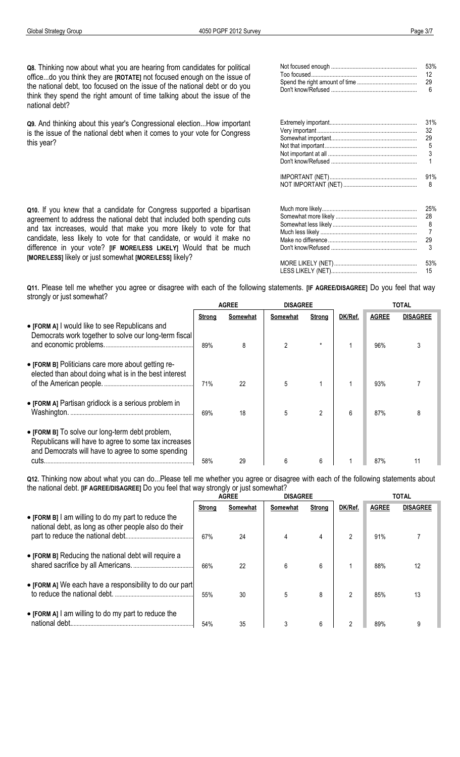**Q8.** Thinking now about what you are hearing from candidates for political office...do you think they are **[ROTATE]** not focused enough on the issue of the national debt, too focused on the issue of the national debt or do you think they spend the right amount of time talking about the issue of the national debt?

**Q9.** And thinking about this year's Congressional election...How important is the issue of the national debt when it comes to your vote for Congress this year?

**Q10.** If you knew that a candidate for Congress supported a bipartisan agreement to address the national debt that included both spending cuts and tax increases, would that make you more likely to vote for that candidate, less likely to vote for that candidate, or would it make no difference in your vote? **[IF MORE/LESS LIKELY]** Would that be much

**[MORE/LESS]** likely or just somewhat **[MORE/LESS]** likely?

Too focused................................................................................................ 12 ............................................................................................... Spend the right amount of time ................................................................ 29 ................................................................................................. Don't know/Refused ................................................................ 6 .................................................................................................................. Extremely important................................................................ 31%................................................................................................................... Very important ................................................................................................ 32 ........................................................................................... Somewhat important................................................................29 .................................................................................................................. Not that important................................................................................................ 5 ...................................................................................... Not important at all ................................................................ ................................ 3 .................................................................................... Don't know/Refused ................................................................ 1 .................................................................................................................. IMPORTANT (NET)................................................................ 91%................................................................................................................... NOT IMPORTANT (NET) ................................................................ 8 .......................................................................................................... Much more likely................................................................................................ 25% ........................................................................................ Somewhat more likely ................................................................ 28 ............................................................................................................... Somewhat less likely ................................................................ 8 ................................................................................................................. Much less likely ................................................................................................ 7 ......................................................................................... Make no difference................................................................29 .................................................................................................................... Don't know/Refused ................................................................ 3 .................................................................................................................. MORE LIKELY (NET)................................................................ 53%................................................................................................................ LESS LIKELY (NET)................................................................15 ..................................................................................................................

Not focused enough ................................................................ 53%..................................................................................................................

**Q11.** Please tell me whether you agree or disagree with each of the following statements. **[IF AGREE/DISAGREE]** Do you feel that way strongly or just somewhat?

|                                                                                                                                                              |               | <b>AGREE</b> | <b>DISAGREE</b> |         |         | TOTAL        |                 |
|--------------------------------------------------------------------------------------------------------------------------------------------------------------|---------------|--------------|-----------------|---------|---------|--------------|-----------------|
|                                                                                                                                                              | <b>Strong</b> | Somewhat     | Somewhat        | Strong  | DK/Ref. | <b>AGREE</b> | <b>DISAGREE</b> |
| • [FORM A] I would like to see Republicans and<br>Democrats work together to solve our long-term fiscal                                                      | 89%           | 8            | 2               | $\star$ |         | 96%          | 3               |
| • [FORM B] Politicians care more about getting re-<br>elected than about doing what is in the best interest                                                  | 71%           | 22           | 5               |         |         | 93%          |                 |
| • [FORM A] Partisan gridlock is a serious problem in<br>Washington.                                                                                          | 69%           | 18           | 5               | 2       | 6       | 87%          |                 |
| • [FORM B] To solve our long-term debt problem,<br>Republicans will have to agree to some tax increases<br>and Democrats will have to agree to some spending | 58%           | 29           | 6               | 6       |         | 87%          |                 |

**Q12.** Thinking now about what you can do...Please tell me whether you agree or disagree with each of the following statements about the national debt. **[IF AGREE/DISAGREE]** Do you feel that way strongly or just somewhat?

|                                                                                                             | <b>AGREE</b> |          | <b>DISAGREE</b> |               |         | <b>TOTAL</b> |                 |
|-------------------------------------------------------------------------------------------------------------|--------------|----------|-----------------|---------------|---------|--------------|-----------------|
|                                                                                                             | Strong       | Somewhat | Somewhat        | <b>Strong</b> | DK/Ref. | <b>AGREE</b> | <b>DISAGREE</b> |
| • [FORM B] I am willing to do my part to reduce the<br>national debt, as long as other people also do their | 67%          | 24       | 4               | 4             | 2       | 91%          |                 |
| • [FORM B] Reducing the national debt will require a                                                        | 66%          | 22       | 6               | 6             |         | 88%          |                 |
| • [FORM A] We each have a responsibility to do our part]                                                    | 55%          | 30       | 5               | 8             | 2       | 85%          | 13              |
| • [FORM A] I am willing to do my part to reduce the<br>national debt                                        | 54%          | 35       | 3               | 6             |         | 89%          |                 |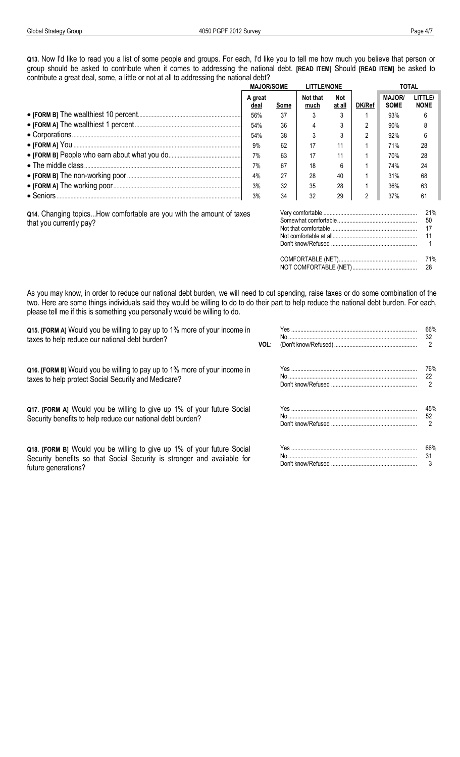Q13. Now I'd like to read you a list of some people and groups. For each, I'd like you to tell me how much you believe that person or group should be asked to contribute when it comes to addressing the national debt. [READ ITEM] Should [READ ITEM] be asked to contribute a great deal, some, a little or not at all to addressing the national debt?

|                                                                      | <b>MAJOR/SOME</b> |      | <b>LITTLE/NONE</b> |               |        | <b>TOTAL</b>                 |                       |
|----------------------------------------------------------------------|-------------------|------|--------------------|---------------|--------|------------------------------|-----------------------|
|                                                                      | A great<br>deal   | Some | Not that<br>much   | Not<br>at all | DK/Ref | <b>MAJOR/</b><br><b>SOME</b> | LITTLE<br><b>NONE</b> |
|                                                                      | 56%               | 37   |                    |               |        | 93%                          | 6                     |
|                                                                      | 54%               | 36   |                    |               |        | 90%                          | 8                     |
|                                                                      | 54%               | 38   |                    |               |        | 92%                          | 6                     |
|                                                                      | 9%                | 62   | 17                 | 11            |        | 71%                          | 28                    |
|                                                                      | 7%                | 63   | 17                 | 11            |        | 70%                          | 28                    |
|                                                                      | 7%                | 67   | 18                 | h             |        | 74%                          | 24                    |
|                                                                      | 4%                | 27   | 28                 | 40            |        | 31%                          | 68                    |
|                                                                      | 3%                | 32   | 35                 | 28            |        | 36%                          | 63                    |
|                                                                      | 3%                | 34   | 32                 | 29            |        | 37%                          | 61                    |
| 011 Changing tonics How comfortable are you with the amount of taxes |                   |      | Verv comfortable   |               |        |                              |                       |

Q14. Changing topics...How comfortable are you with the amount of taxes that you currently pay?

| 50 |
|----|
|    |
|    |
|    |
|    |
|    |
|    |

As you may know, in order to reduce our national debt burden, we will need to cut spending, raise taxes or do some combination of the two. Here are some things individuals said they would be willing to do to do their part to help reduce the national debt burden. For each, please tell me if this is something you personally would be willing to do.

Q15. [FORM A] Would you be willing to pay up to 1% more of your income in taxes to help reduce our national debt burden? VOL:

Q16. [FORM B] Would you be willing to pay up to 1% more of your income in taxes to help protect Social Security and Medicare?

Q17. [FORM A] Would you be willing to give up 1% of your future Social Security benefits to help reduce our national debt burden?

Q18. [FORM B] Would you be willing to give up 1% of your future Social Security benefits so that Social Security is stronger and available for future generations?

| 66% |
|-----|
| 32  |
| 2   |
| 76% |
| 22  |
| 2   |
|     |
| 45% |
| 52  |
| 2   |
| 66% |
| 31  |
| 3   |
|     |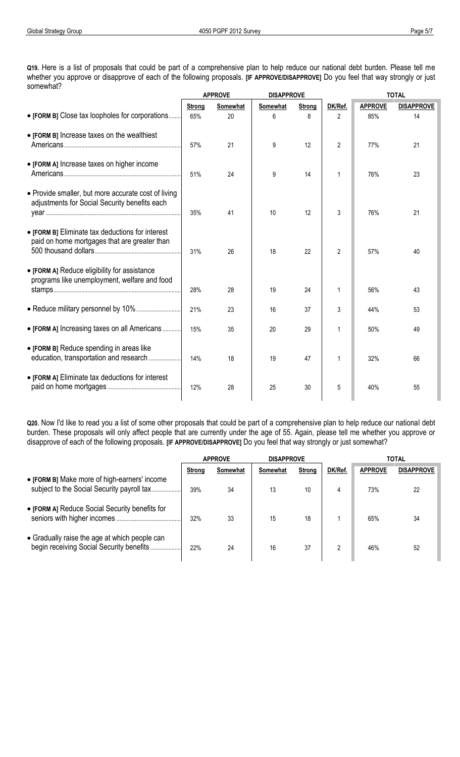**Q19.** Here is a list of proposals that could be part of a comprehensive plan to help reduce our national debt burden. Please tell me whether you approve or disapprove of each of the following proposals. **[IF APPROVE/DISAPPROVE]** Do you feel that way strongly or just somewhat?

|                                                                                                      | <b>APPROVE</b> |          | <b>DISAPPROVE</b> |               | <b>TOTAL</b>   |                |                   |  |
|------------------------------------------------------------------------------------------------------|----------------|----------|-------------------|---------------|----------------|----------------|-------------------|--|
|                                                                                                      | <b>Strong</b>  | Somewhat | Somewhat          | <b>Strong</b> | DK/Ref.        | <b>APPROVE</b> | <b>DISAPPROVE</b> |  |
| • [FORM B] Close tax loopholes for corporations                                                      | 65%            | 20       | 6                 | 8             | 2              | 85%            | 14                |  |
| • [FORM B] Increase taxes on the wealthiest                                                          | 57%            | 21       | 9                 | 12            | $\overline{2}$ | 77%            | 21                |  |
| • [FORM A] Increase taxes on higher income                                                           | 51%            | 24       | 9                 | 14            | 1              | 76%            | 23                |  |
| • Provide smaller, but more accurate cost of living<br>adjustments for Social Security benefits each | 35%            | 41       | 10                | 12            | 3              | 76%            | 21                |  |
| • [FORM B] Eliminate tax deductions for interest<br>paid on home mortgages that are greater than     | 31%            | 26       | 18                | 22            | $\overline{2}$ | 57%            | 40                |  |
| • [FORM A] Reduce eligibility for assistance<br>programs like unemployment, welfare and food         | 28%            | 28       | 19                | 24            |                | 56%            | 43                |  |
|                                                                                                      | 21%            | 23       | 16                | 37            | 3              | 44%            | 53                |  |
| • [FORM A] Increasing taxes on all Americans                                                         | 15%            | 35       | 20                | 29            |                | 50%            | 49                |  |
| • [FORM B] Reduce spending in areas like                                                             | 14%            | 18       | 19                | 47            |                | 32%            | 66                |  |
| • [FORM A] Eliminate tax deductions for interest                                                     | 12%            | 28       | 25                | 30            | 5              | 40%            | 55                |  |

**Q20.** Now I'd like to read you a list of some other proposals that could be part of a comprehensive plan to help reduce our national debt burden. These proposals will only affect people that are currently under the age of 55. Again, please tell me whether you approve or disapprove of each of the following proposals. **[IF APPROVE/DISAPPROVE]** Do you feel that way strongly or just somewhat?

|                                                | <b>APPROVE</b> |          | <b>DISAPPROVE</b> |               |         | TOTAL          |                   |
|------------------------------------------------|----------------|----------|-------------------|---------------|---------|----------------|-------------------|
|                                                | <b>Strong</b>  | Somewhat | Somewhat          | <b>Strong</b> | DK/Ref. | <b>APPROVE</b> | <b>DISAPPROVE</b> |
| • [FORM B] Make more of high-earners' income   | 39%            | 34       | 13                | 10            |         | 73%            | 22                |
| • [FORM A] Reduce Social Security benefits for | 32%            | 33       | 15                | 18            |         | 65%            | 34                |
| • Gradually raise the age at which people can  | 22%            | 24       | 16                | 37            |         | 46%            | 52                |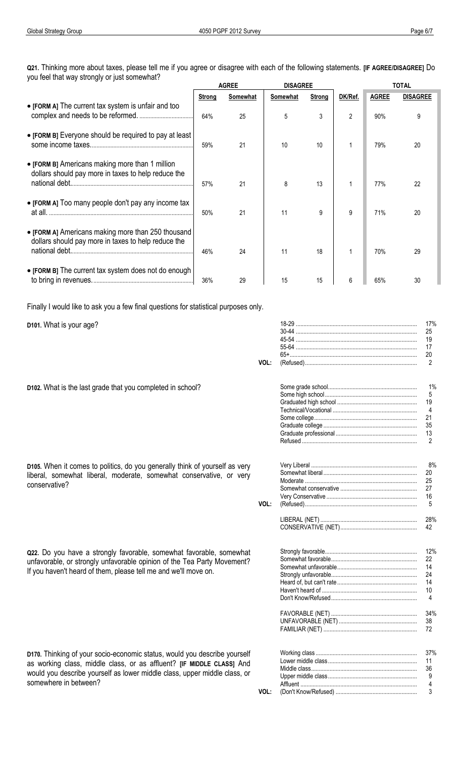Q21. Thinking more about taxes, please tell me if you agree or disagree with each of the following statements. [IF AGREE/DISAGREE] Do you feel that way strongly or just somewhat?

|                                                                                                                            | <b>AGREE</b> |          | <b>DISAGREE</b> |               |         | <b>TOTAL</b> |                 |
|----------------------------------------------------------------------------------------------------------------------------|--------------|----------|-----------------|---------------|---------|--------------|-----------------|
|                                                                                                                            | Strong       | Somewhat | Somewhat        | <b>Strong</b> | DK/Ref. | <b>AGREE</b> | <b>DISAGREE</b> |
| • [FORM A] The current tax system is unfair and too                                                                        | 64%          | 25       | 5               | 3             | 2       | 90%          | 9               |
| • [FORM B] Everyone should be required to pay at least                                                                     | 59%          | 21       | 10              | 10            |         | 79%          | 20              |
| • [FORM B] Americans making more than 1 million<br>dollars should pay more in taxes to help reduce the                     | 57%          | 21       | 8               | 13            |         | 77%          | 22              |
| • [FORM A] Too many people don't pay any income tax                                                                        | 50%          | 21       | 11              | 9             | 9       | 71%          | 20              |
| • [FORM A] Americans making more than 250 thousand<br>dollars should pay more in taxes to help reduce the<br>national debt | 46%          | 24       | 11              | 18            |         | 70%          | 29              |
| • [FORM B] The current tax system does not do enough                                                                       | 36%          | 29       | 15              | 15            | 6       | 65%          | 30              |

Finally I would like to ask you a few final questions for statistical purposes only.

D101. What is your age?

conservative?

| VOL: | 17%<br>25<br>19<br>17<br>20<br>2              |
|------|-----------------------------------------------|
|      | 1%<br>5<br>19<br>4<br>21<br>35<br>13<br>2     |
| VOL: | 8%<br>20<br>25<br>27<br>16<br>5               |
|      | 28%<br>42                                     |
|      | 12%<br>22<br>14<br>24<br>14<br>10<br>4<br>34% |
|      | 38<br>72                                      |
|      | 37%<br>11<br>36<br>9<br>4                     |
| VOL: | 3                                             |

D102. What is the last grade that you completed in school?

D105. When it comes to politics, do you generally think of yourself as very liberal, somewhat liberal, moderate, somewhat conservative, or very

Q22. Do you have a strongly favorable, somewhat favorable, somewhat unfavorable, or strongly unfavorable opinion of the Tea Party Movement? If you haven't heard of them, please tell me and we'll move on.

D170. Thinking of your socio-economic status, would you describe yourself as working class, middle class, or as affluent? [IF MIDDLE CLASS] And would you describe yourself as lower middle class, upper middle class, or somewhere in between?